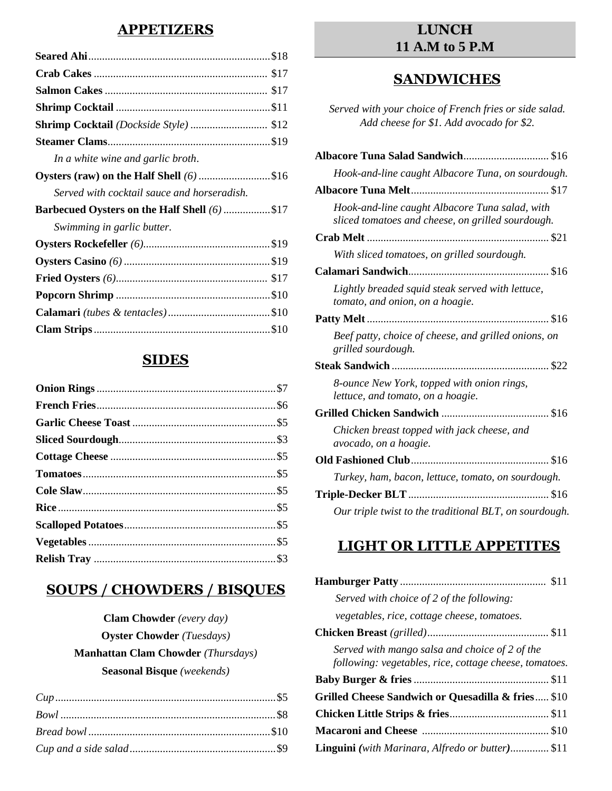### **APPETIZERS**

| In a white wine and garlic broth.                    |
|------------------------------------------------------|
| Oysters (raw) on the Half Shell (6) \$16             |
| Served with cocktail sauce and horseradish.          |
| <b>Barbecued Oysters on the Half Shell (6)  \$17</b> |
| Swimming in garlic butter.                           |
|                                                      |
|                                                      |
|                                                      |
|                                                      |
|                                                      |
|                                                      |

## **SIDES**

## **SOUPS / CHOWDERS / BISQUES**

# **Clam Chowder** *(every day)* **Oyster Chowder** *(Tuesdays)*  **Manhattan Clam Chowder** *(Thursdays)*  **Seasonal Bisque** *(weekends)*

## **LUNCH 11 A.M to 5 P.M**

## **SANDWICHES**

*Served with your choice of French fries or side salad. Add cheese for \$1. Add avocado for \$2.*

| Albacore Tuna Salad Sandwich \$16                                                                   |
|-----------------------------------------------------------------------------------------------------|
| Hook-and-line caught Albacore Tuna, on sourdough.                                                   |
|                                                                                                     |
| Hook-and-line caught Albacore Tuna salad, with<br>sliced tomatoes and cheese, on grilled sourdough. |
|                                                                                                     |
| With sliced tomatoes, on grilled sourdough.                                                         |
|                                                                                                     |
| Lightly breaded squid steak served with lettuce,<br>tomato, and onion, on a hoagie.                 |
|                                                                                                     |
| Beef patty, choice of cheese, and grilled onions, on<br>grilled sourdough.                          |
|                                                                                                     |
| 8-ounce New York, topped with onion rings,<br>lettuce, and tomato, on a hoagie.                     |
|                                                                                                     |
| Chicken breast topped with jack cheese, and<br>avocado, on a hoagie.                                |
|                                                                                                     |
| Turkey, ham, bacon, lettuce, tomato, on sourdough.                                                  |
|                                                                                                     |
| Our triple twist to the traditional BLT, on sourdough.                                              |

# **LIGHT OR LITTLE APPETITES**

| Served with choice of 2 of the following:                                                                |
|----------------------------------------------------------------------------------------------------------|
| vegetables, rice, cottage cheese, tomatoes.                                                              |
|                                                                                                          |
| Served with mango salsa and choice of 2 of the<br>following: vegetables, rice, cottage cheese, tomatoes. |
|                                                                                                          |
| Grilled Cheese Sandwich or Quesadilla & fries \$10                                                       |
|                                                                                                          |
|                                                                                                          |
| <b>Linguini</b> (with Marinara, Alfredo or butter) \$11                                                  |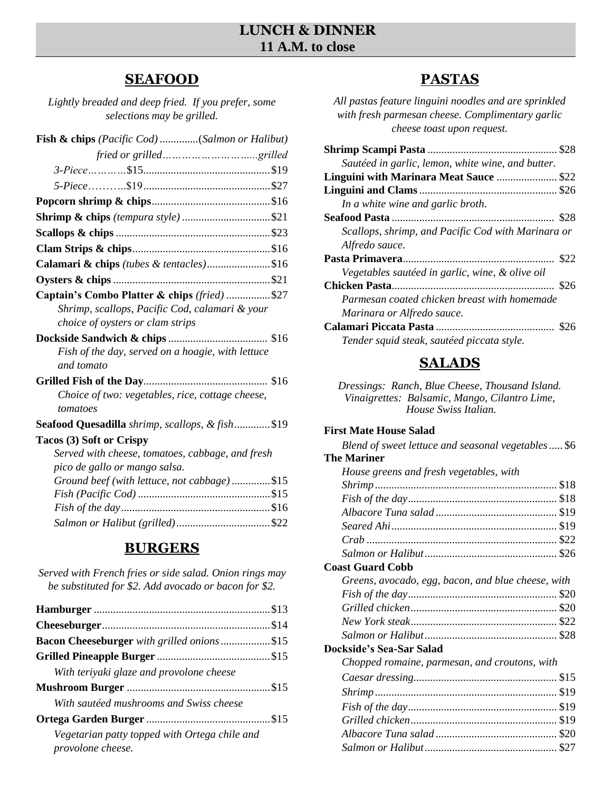## **LUNCH & DINNER 11 A.M. to close**

## **SEAFOOD**

*Lightly breaded and deep fried. If you prefer, some selections may be grilled.* 

| <b>Fish &amp; chips</b> (Pacific Cod) (Salmon or Halibut) |
|-----------------------------------------------------------|
|                                                           |
|                                                           |
|                                                           |
|                                                           |
|                                                           |
|                                                           |
|                                                           |
| Calamari & chips (tubes & tentacles)\$16                  |
|                                                           |
| Captain's Combo Platter & chips (fried) \$27              |
| Shrimp, scallops, Pacific Cod, calamari & your            |
| choice of oysters or clam strips                          |
|                                                           |
| Fish of the day, served on a hoagie, with lettuce         |
| and tomato                                                |
|                                                           |
| Choice of two: vegetables, rice, cottage cheese,          |
| tomatoes                                                  |
| Seafood Quesadilla shrimp, scallops, & fish\$19           |
| Tacos (3) Soft or Crispy                                  |
| Served with cheese, tomatoes, cabbage, and fresh          |
| pico de gallo or mango salsa.                             |
| Ground beef (with lettuce, not cabbage)\$15               |
|                                                           |
|                                                           |
|                                                           |

# **BURGERS**

| Served with French fries or side salad. Onion rings may |  |
|---------------------------------------------------------|--|
| be substituted for \$2. Add avocado or bacon for \$2.   |  |

| Bacon Cheeseburger with grilled onions \$15                        |  |
|--------------------------------------------------------------------|--|
|                                                                    |  |
| With teriyaki glaze and provolone cheese                           |  |
|                                                                    |  |
| With sautéed mushrooms and Swiss cheese                            |  |
|                                                                    |  |
| Vegetarian patty topped with Ortega chile and<br>provolone cheese. |  |

# **PASTAS**

*All pastas feature linguini noodles and are sprinkled with fresh parmesan cheese. Complimentary garlic cheese toast upon request.*

| Sautéed in garlic, lemon, white wine, and butter.  |      |
|----------------------------------------------------|------|
| Linguini with Marinara Meat Sauce  \$22            |      |
|                                                    |      |
| In a white wine and garlic broth.                  |      |
|                                                    |      |
| Scallops, shrimp, and Pacific Cod with Marinara or |      |
| Alfredo sauce.                                     |      |
|                                                    |      |
| Vegetables sautéed in garlic, wine, & olive oil    |      |
|                                                    |      |
| Parmesan coated chicken breast with homemade       |      |
| Marinara or Alfredo sauce.                         |      |
|                                                    | \$26 |
| Tender squid steak, sautéed piccata style.         |      |

# **SALADS**

*Dressings: Ranch, Blue Cheese, Thousand Island. Vinaigrettes: Balsamic, Mango, Cilantro Lime, House Swiss Italian.*

### **First Mate House Salad**

| Blend of sweet lettuce and seasonal vegetables\$6  |  |
|----------------------------------------------------|--|
| The Mariner                                        |  |
| House greens and fresh vegetables, with            |  |
|                                                    |  |
|                                                    |  |
|                                                    |  |
|                                                    |  |
|                                                    |  |
|                                                    |  |
| <b>Coast Guard Cobb</b>                            |  |
| Greens, avocado, egg, bacon, and blue cheese, with |  |
|                                                    |  |
|                                                    |  |
|                                                    |  |
|                                                    |  |
| Dockside's Sea-Sar Salad                           |  |
| Chopped romaine, parmesan, and croutons, with      |  |
|                                                    |  |
|                                                    |  |
|                                                    |  |
|                                                    |  |
|                                                    |  |
|                                                    |  |